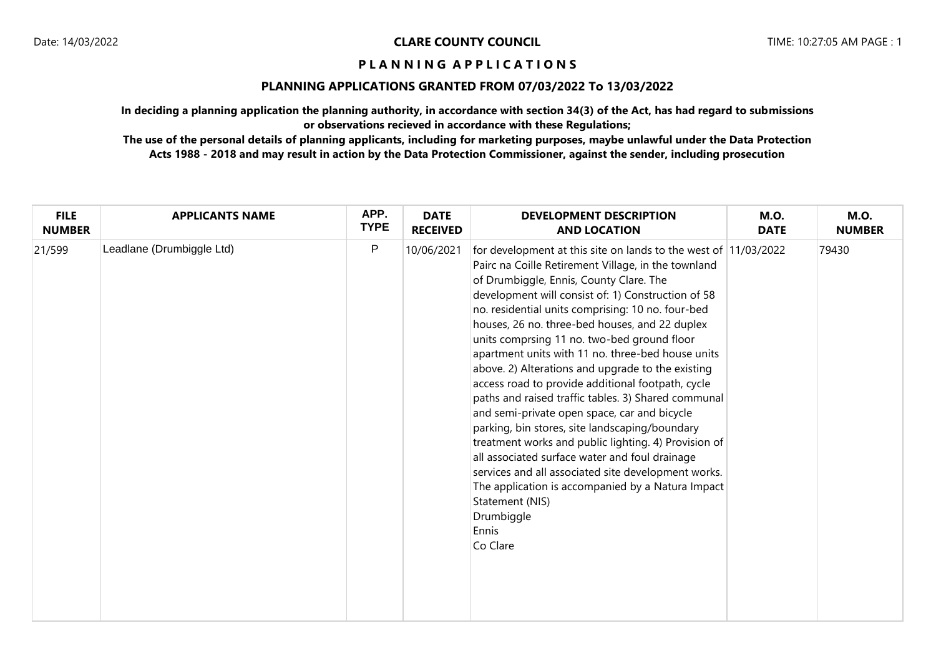# **PLANNING APPLICATIONS GRANTED FROM 07/03/2022 To 13/03/2022**

**In deciding a planning application the planning authority, in accordance with section 34(3) of the Act, has had regard to submissions or observations recieved in accordance with these Regulations;**

| <b>FILE</b>   | <b>APPLICANTS NAME</b>    | APP.        | <b>DATE</b>     | <b>DEVELOPMENT DESCRIPTION</b>                                                                                                                                                                                                                                                                                                                                                                                                                                                                                                                                                                                                                                                                                                                                                                                                                                                                                                                                                        | <b>M.O.</b> | <b>M.O.</b>   |
|---------------|---------------------------|-------------|-----------------|---------------------------------------------------------------------------------------------------------------------------------------------------------------------------------------------------------------------------------------------------------------------------------------------------------------------------------------------------------------------------------------------------------------------------------------------------------------------------------------------------------------------------------------------------------------------------------------------------------------------------------------------------------------------------------------------------------------------------------------------------------------------------------------------------------------------------------------------------------------------------------------------------------------------------------------------------------------------------------------|-------------|---------------|
| <b>NUMBER</b> |                           | <b>TYPE</b> | <b>RECEIVED</b> | <b>AND LOCATION</b>                                                                                                                                                                                                                                                                                                                                                                                                                                                                                                                                                                                                                                                                                                                                                                                                                                                                                                                                                                   | <b>DATE</b> | <b>NUMBER</b> |
| 21/599        | Leadlane (Drumbiggle Ltd) | P           | 10/06/2021      | for development at this site on lands to the west of $ 11/03/2022 $<br>Pairc na Coille Retirement Village, in the townland<br>of Drumbiggle, Ennis, County Clare. The<br>development will consist of: 1) Construction of 58<br>no. residential units comprising: 10 no. four-bed<br>houses, 26 no. three-bed houses, and 22 duplex<br>units comprsing 11 no. two-bed ground floor<br>apartment units with 11 no. three-bed house units<br>above. 2) Alterations and upgrade to the existing<br>access road to provide additional footpath, cycle<br>paths and raised traffic tables. 3) Shared communal<br>and semi-private open space, car and bicycle<br>parking, bin stores, site landscaping/boundary<br>treatment works and public lighting. 4) Provision of<br>all associated surface water and foul drainage<br>services and all associated site development works.<br>The application is accompanied by a Natura Impact<br>Statement (NIS)<br>Drumbiggle<br>Ennis<br>Co Clare |             | 79430         |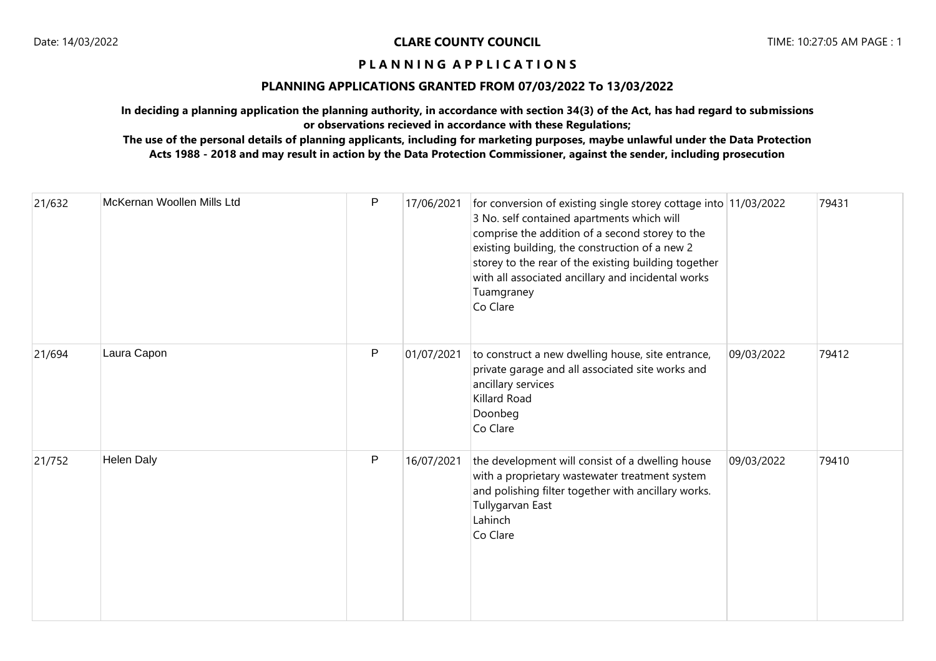# **PLANNING APPLICATIONS GRANTED FROM 07/03/2022 To 13/03/2022**

**In deciding a planning application the planning authority, in accordance with section 34(3) of the Act, has had regard to submissions or observations recieved in accordance with these Regulations;**

| 21/632 | McKernan Woollen Mills Ltd | P         | 17/06/2021 | for conversion of existing single storey cottage into 11/03/2022<br>3 No. self contained apartments which will<br>comprise the addition of a second storey to the<br>existing building, the construction of a new 2<br>storey to the rear of the existing building together<br>with all associated ancillary and incidental works<br>Tuamgraney<br>Co Clare |            | 79431 |
|--------|----------------------------|-----------|------------|-------------------------------------------------------------------------------------------------------------------------------------------------------------------------------------------------------------------------------------------------------------------------------------------------------------------------------------------------------------|------------|-------|
| 21/694 | Laura Capon                | ${\sf P}$ | 01/07/2021 | to construct a new dwelling house, site entrance,<br>private garage and all associated site works and<br>ancillary services<br>Killard Road<br>Doonbeg<br>Co Clare                                                                                                                                                                                          | 09/03/2022 | 79412 |
| 21/752 | Helen Daly                 | P         | 16/07/2021 | the development will consist of a dwelling house<br>with a proprietary wastewater treatment system<br>and polishing filter together with ancillary works.<br>Tullygarvan East<br>Lahinch<br>Co Clare                                                                                                                                                        | 09/03/2022 | 79410 |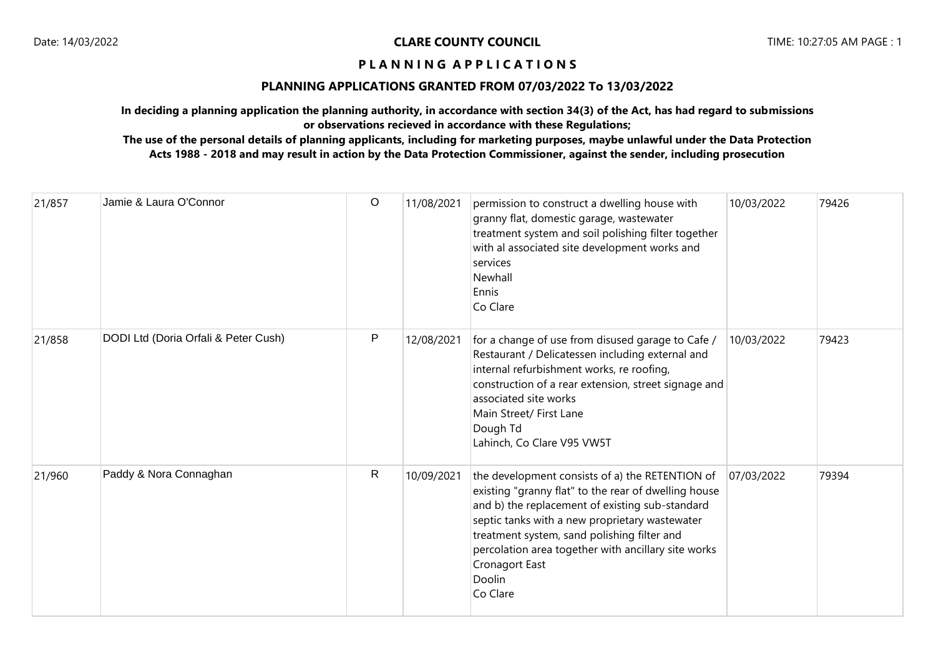# **PLANNING APPLICATIONS GRANTED FROM 07/03/2022 To 13/03/2022**

**In deciding a planning application the planning authority, in accordance with section 34(3) of the Act, has had regard to submissions or observations recieved in accordance with these Regulations;**

| 21/857 | Jamie & Laura O'Connor               | $\circ$      | 11/08/2021 | permission to construct a dwelling house with<br>granny flat, domestic garage, wastewater<br>treatment system and soil polishing filter together<br>with al associated site development works and<br>services<br>Newhall<br>Ennis<br>Co Clare                                                                                                              | 10/03/2022 | 79426 |
|--------|--------------------------------------|--------------|------------|------------------------------------------------------------------------------------------------------------------------------------------------------------------------------------------------------------------------------------------------------------------------------------------------------------------------------------------------------------|------------|-------|
| 21/858 | DODI Ltd (Doria Orfali & Peter Cush) | P            | 12/08/2021 | for a change of use from disused garage to Cafe /<br>Restaurant / Delicatessen including external and<br>internal refurbishment works, re roofing,<br>construction of a rear extension, street signage and<br>associated site works<br>Main Street/ First Lane<br>Dough Td<br>Lahinch, Co Clare V95 VW5T                                                   | 10/03/2022 | 79423 |
| 21/960 | Paddy & Nora Connaghan               | $\mathsf{R}$ | 10/09/2021 | the development consists of a) the RETENTION of<br>existing "granny flat" to the rear of dwelling house<br>and b) the replacement of existing sub-standard<br>septic tanks with a new proprietary wastewater<br>treatment system, sand polishing filter and<br>percolation area together with ancillary site works<br>Cronagort East<br>Doolin<br>Co Clare | 07/03/2022 | 79394 |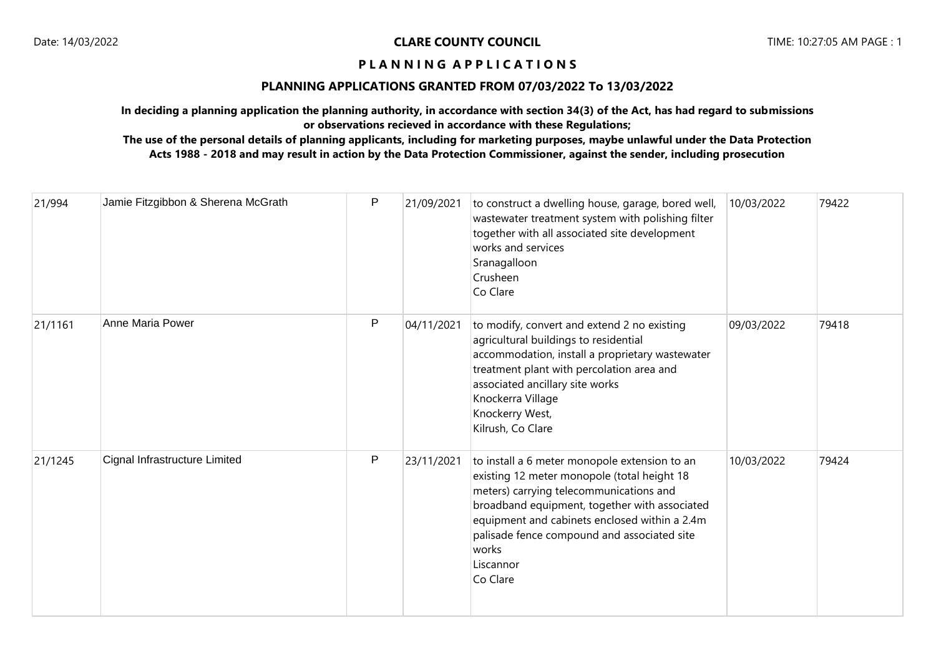# **PLANNING APPLICATIONS GRANTED FROM 07/03/2022 To 13/03/2022**

**In deciding a planning application the planning authority, in accordance with section 34(3) of the Act, has had regard to submissions or observations recieved in accordance with these Regulations;**

| 21/994  | Jamie Fitzgibbon & Sherena McGrath | P            | 21/09/2021 | to construct a dwelling house, garage, bored well,<br>wastewater treatment system with polishing filter<br>together with all associated site development<br>works and services<br>Sranagalloon<br>Crusheen<br>Co Clare                                                                                                     | 10/03/2022 | 79422 |
|---------|------------------------------------|--------------|------------|----------------------------------------------------------------------------------------------------------------------------------------------------------------------------------------------------------------------------------------------------------------------------------------------------------------------------|------------|-------|
| 21/1161 | Anne Maria Power                   | $\mathsf{P}$ | 04/11/2021 | to modify, convert and extend 2 no existing<br>agricultural buildings to residential<br>accommodation, install a proprietary wastewater<br>treatment plant with percolation area and<br>associated ancillary site works<br>Knockerra Village<br>Knockerry West,<br>Kilrush, Co Clare                                       | 09/03/2022 | 79418 |
| 21/1245 | Cignal Infrastructure Limited      | ${\sf P}$    | 23/11/2021 | to install a 6 meter monopole extension to an<br>existing 12 meter monopole (total height 18<br>meters) carrying telecommunications and<br>broadband equipment, together with associated<br>equipment and cabinets enclosed within a 2.4m<br>palisade fence compound and associated site<br>works<br>Liscannor<br>Co Clare | 10/03/2022 | 79424 |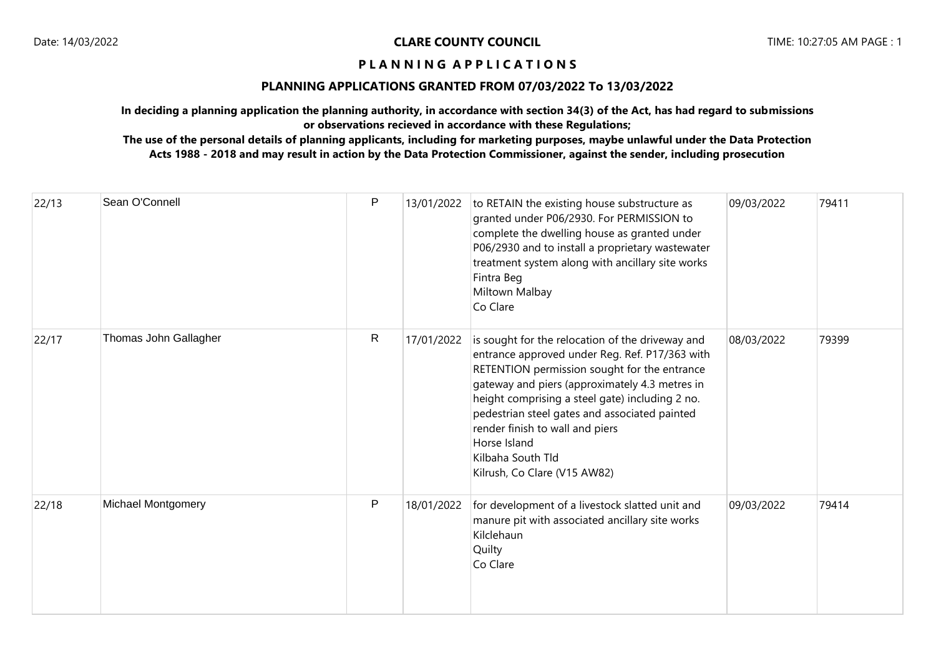# **PLANNING APPLICATIONS GRANTED FROM 07/03/2022 To 13/03/2022**

**In deciding a planning application the planning authority, in accordance with section 34(3) of the Act, has had regard to submissions or observations recieved in accordance with these Regulations;**

| 22/13 | Sean O'Connell        | $\mathsf{P}$ | 13/01/2022 | to RETAIN the existing house substructure as<br>granted under P06/2930. For PERMISSION to<br>complete the dwelling house as granted under<br>P06/2930 and to install a proprietary wastewater<br>treatment system along with ancillary site works<br>Fintra Beg<br>Miltown Malbay<br>Co Clare                                                                                                                    | 09/03/2022 | 79411 |
|-------|-----------------------|--------------|------------|------------------------------------------------------------------------------------------------------------------------------------------------------------------------------------------------------------------------------------------------------------------------------------------------------------------------------------------------------------------------------------------------------------------|------------|-------|
| 22/17 | Thomas John Gallagher | R            | 17/01/2022 | is sought for the relocation of the driveway and<br>entrance approved under Reg. Ref. P17/363 with<br>RETENTION permission sought for the entrance<br>gateway and piers (approximately 4.3 metres in<br>height comprising a steel gate) including 2 no.<br>pedestrian steel gates and associated painted<br>render finish to wall and piers<br>Horse Island<br>Kilbaha South Tld<br>Kilrush, Co Clare (V15 AW82) | 08/03/2022 | 79399 |
| 22/18 | Michael Montgomery    | P            | 18/01/2022 | for development of a livestock slatted unit and<br>manure pit with associated ancillary site works<br>Kilclehaun<br>Quilty<br>Co Clare                                                                                                                                                                                                                                                                           | 09/03/2022 | 79414 |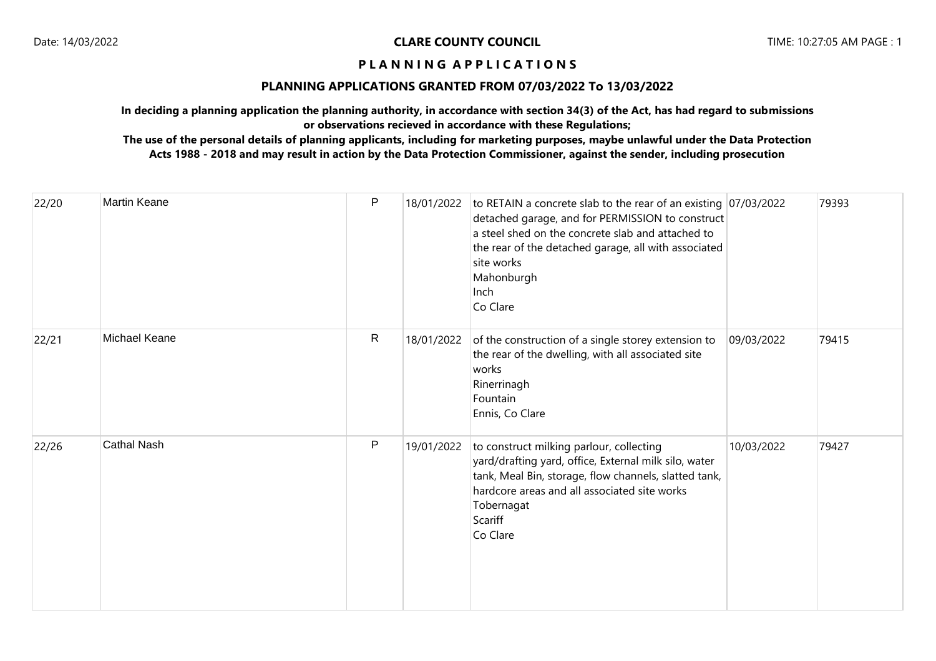# **PLANNING APPLICATIONS GRANTED FROM 07/03/2022 To 13/03/2022**

**In deciding a planning application the planning authority, in accordance with section 34(3) of the Act, has had regard to submissions or observations recieved in accordance with these Regulations;**

| 22/20 | <b>Martin Keane</b>  | $\mathsf{P}$ | 18/01/2022 | to RETAIN a concrete slab to the rear of an existing $07/03/2022$<br>detached garage, and for PERMISSION to construct<br>a steel shed on the concrete slab and attached to<br>the rear of the detached garage, all with associated<br>site works<br>Mahonburgh<br>Inch<br>Co Clare |            | 79393 |
|-------|----------------------|--------------|------------|------------------------------------------------------------------------------------------------------------------------------------------------------------------------------------------------------------------------------------------------------------------------------------|------------|-------|
| 22/21 | <b>Michael Keane</b> | $\mathsf{R}$ | 18/01/2022 | of the construction of a single storey extension to<br>the rear of the dwelling, with all associated site<br>works<br>Rinerrinagh<br>Fountain<br>Ennis, Co Clare                                                                                                                   | 09/03/2022 | 79415 |
| 22/26 | <b>Cathal Nash</b>   | $\mathsf{P}$ | 19/01/2022 | to construct milking parlour, collecting<br>yard/drafting yard, office, External milk silo, water<br>tank, Meal Bin, storage, flow channels, slatted tank,<br>hardcore areas and all associated site works<br>Tobernagat<br>Scariff<br>Co Clare                                    | 10/03/2022 | 79427 |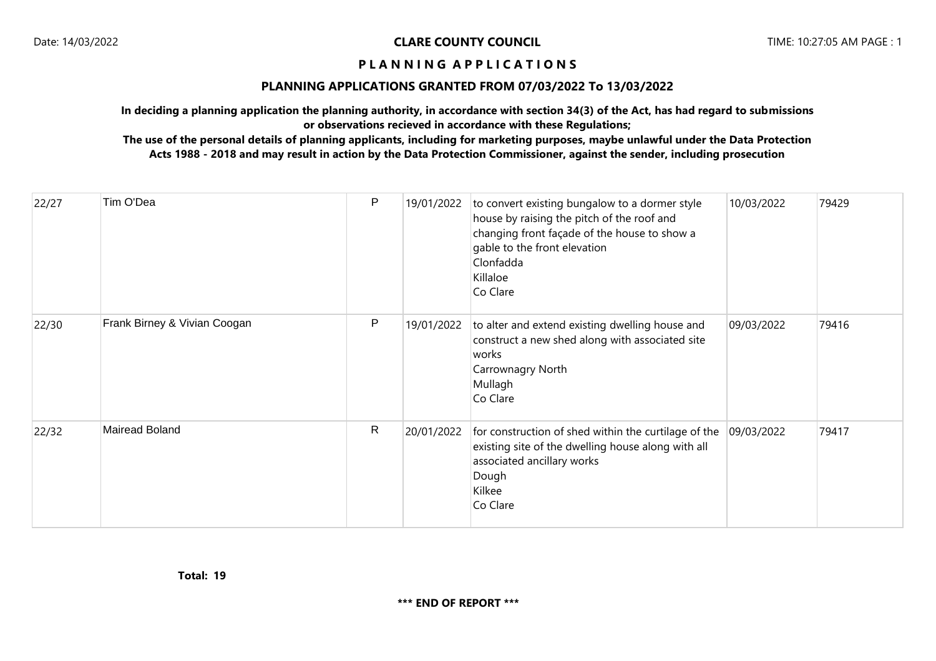#### **PLANNING APPLICATIONS GRANTED FROM 07/03/2022 To 13/03/2022**

**In deciding a planning application the planning authority, in accordance with section 34(3) of the Act, has had regard to submissions or observations recieved in accordance with these Regulations;**

| 22/27 | Tim O'Dea                    | P            | 19/01/2022 | to convert existing bungalow to a dormer style<br>house by raising the pitch of the roof and<br>changing front façade of the house to show a<br>gable to the front elevation<br>Clonfadda<br>Killaloe<br>Co Clare | 10/03/2022 | 79429 |
|-------|------------------------------|--------------|------------|-------------------------------------------------------------------------------------------------------------------------------------------------------------------------------------------------------------------|------------|-------|
| 22/30 | Frank Birney & Vivian Coogan | P            | 19/01/2022 | to alter and extend existing dwelling house and<br>construct a new shed along with associated site<br>works<br>Carrownagry North<br>Mullagh<br>Co Clare                                                           | 09/03/2022 | 79416 |
| 22/32 | Mairead Boland               | $\mathsf{R}$ | 20/01/2022 | for construction of shed within the curtilage of the<br>existing site of the dwelling house along with all<br>associated ancillary works<br>Dough<br>Kilkee<br>Co Clare                                           | 09/03/2022 | 79417 |